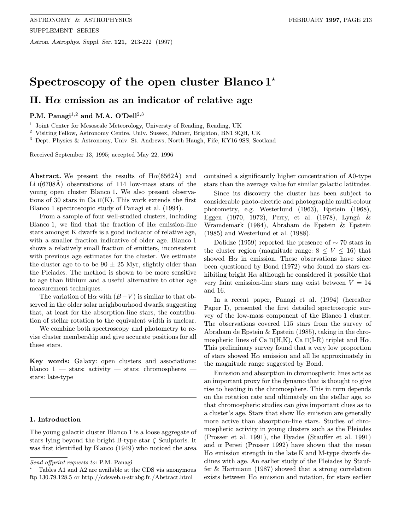Astron. Astrophys. Suppl. Ser. 121, 213-222 (1997)

# Spectroscopy of the open cluster Blanco  $1^*$

# II. H $\alpha$  emission as an indicator of relative age

# P.M. Panagi<sup>1,2</sup> and M.A. O'Dell<sup>2,3</sup>

<sup>1</sup> Joint Center for Mesoscale Meteorology, Universty of Reading, Reading, UK

<sup>2</sup> Visiting Fellow, Astronomy Centre, Univ. Sussex, Falmer, Brighton, BN1 9QH, UK

<sup>3</sup> Dept. Physics & Astronomy, Univ. St. Andrews, North Haugh, Fife, KY16 9SS, Scotland

Received September 13, 1995; accepted May 22, 1996

**Abstract.** We present the results of  $H\alpha(6562\text{\AA})$  and Li  $I(6708\text{\AA})$  observations of 114 low-mass stars of the young open cluster Blanco 1. We also present observations of 30 stars in Ca  $II(K)$ . This work extends the first Blanco 1 spectroscopic study of Panagi et al. (1994).

From a sample of four well-studied clusters, including Blanco 1, we find that the fraction of  $H\alpha$  emission-line stars amongst K dwarfs is a good indicator of relative age, with a smaller fraction indicative of older age. Blanco 1 shows a relatively small fraction of emitters, inconsistent with previous age estimates for the cluster. We estimate the cluster age to to be  $90 \pm 25$  Myr, slightly older than the Pleiades. The method is shown to be more sensitive to age than lithium and a useful alternative to other age measurement techniques.

The variation of H $\alpha$  with  $(B-V)$  is similar to that observed in the older solar neighbourhood dwarfs, suggesting that, at least for the absorption-line stars, the contribution of stellar rotation to the equivalent width is unclear.

We combine both spectroscopy and photometry to revise cluster membership and give accurate positions for all these stars.

Key words: Galaxy: open clusters and associations: blanco  $1$  — stars: activity — stars: chromospheres stars: late-type

## 1. Introduction

The young galactic cluster Blanco 1 is a loose aggregate of stars lying beyond the bright B-type star  $\zeta$  Sculptoris. It was first identified by Blanco (1949) who noticed the area

contained a significantly higher concentration of A0-type stars than the average value for similar galactic latitudes.

Since its discovery the cluster has been subject to considerable photo-electric and photographic multi-colour photometry, e.g. Westerlund (1963), Epstein (1968), Eggen (1970, 1972), Perry, et al. (1978), Lyngå  $\&$ Wramdemark (1984), Abraham de Epstein & Epstein (1985) and Westerlund et al. (1988).

Dolidze (1959) reported the presence of  $\sim$  70 stars in the cluster region (magnitude range:  $8 \leq V \leq 16$ ) that showed  $H\alpha$  in emission. These observations have since been questioned by Bond (1972) who found no stars exhibiting bright  $H\alpha$  although he considered it possible that very faint emission-line stars may exist between  $V = 14$ and 16.

In a recent paper, Panagi et al. (1994) (hereafter Paper I), presented the first detailed spectroscopic survey of the low-mass component of the Blanco 1 cluster. The observations covered 115 stars from the survey of Abraham de Epstein & Epstein (1985), taking in the chromospheric lines of Ca  $\text{II(H,K)}$ , Ca  $\text{II(L-R)}$  triplet and H $\alpha$ . This preliminary survey found that a very low proportion of stars showed  $H\alpha$  emission and all lie approximately in the magnitude range suggested by Bond.

Emission and absorption in chromospheric lines acts as an important proxy for the dynamo that is thought to give rise to heating in the chromosphere. This in turn depends on the rotation rate and ultimately on the stellar age, so that chromospheric studies can give important clues as to a cluster's age. Stars that show  $H\alpha$  emission are generally more active than absorption-line stars. Studies of chromospheric activity in young clusters such as the Pleiades (Prosser et al. 1991), the Hyades (Stauffer et al. 1991) and  $\alpha$  Persei (Prosser 1992) have shown that the mean  $H\alpha$  emission strength in the late K and M-type dwarfs declines with age. An earlier study of the Pleiades by Stauffer & Hartmann (1987) showed that a strong correlation exists between  $H\alpha$  emission and rotation, for stars earlier

Send offprint requests to: P.M. Panagi

<sup>?</sup> Tables A1 and A2 are available at the CDS via anonymous ftp 130.79.128.5 or http://cdsweb.u-strabg.fr./Abstract.html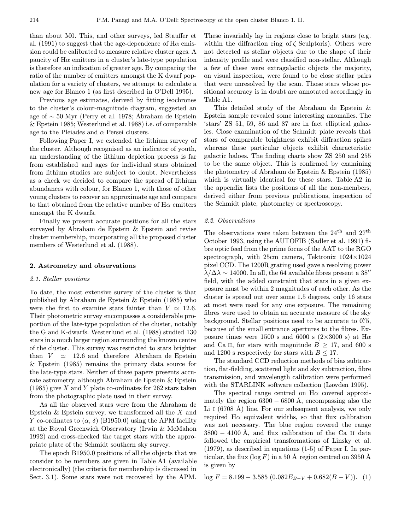than about M0. This, and other surveys, led Stauffer et al. (1991) to suggest that the age-dependence of  $H\alpha$  emission could be calibrated to measure relative cluster ages. A paucity of  $H\alpha$  emitters in a cluster's late-type population is therefore an indication of greater age. By comparing the ratio of the number of emitters amongst the K dwarf population for a variety of clusters, we attempt to calculate a new age for Blanco 1 (as first described in O'Dell 1995).

Previous age estimates, derived by fitting isochrones to the cluster's colour-magnitude diagram, suggested an age of ∼ 50 Myr (Perry et al. 1978; Abraham de Epstein & Epstein 1985; Westerlund et al. 1988) i.e. of comparable age to the Pleiades and  $\alpha$  Persei clusters.

Following Paper I, we extended the lithium survey of the cluster. Although recognised as an indicator of youth, an understanding of the lithium depletion process is far from established and ages for individual stars obtained from lithium studies are subject to doubt. Nevertheless as a check we decided to compare the spread of lithium abundances with colour, for Blanco 1, with those of other young clusters to recover an approximate age and compare to that obtained from the relative number of  $H\alpha$  emitters amongst the K dwarfs.

Finally we present accurate positions for all the stars surveyed by Abraham de Epstein & Epstein and revise cluster membership, incorporating all the proposed cluster members of Westerlund et al. (1988).

### 2. Astrometry and observations

## 2.1. Stellar positions

To date, the most extensive survey of the cluster is that published by Abraham de Epstein & Epstein (1985) who were the first to examine stars fainter than  $V \approx 12.6$ . Their photometric survey encompasses a considerable proportion of the late-type population of the cluster, notably the G and K-dwarfs. Westerlund et al. (1988) studied 130 stars in a much larger region surrounding the known centre of the cluster. This survey was restricted to stars brighter than  $V \approx 12.6$  and therefore Abraham de Epstein & Epstein (1985) remains the primary data source for the late-type stars. Neither of these papers presents accurate astrometry, although Abraham de Epstein & Epstein  $(1985)$  give X and Y plate co-ordinates for 262 stars taken from the photographic plate used in their survey.

As all the observed stars were from the Abraham de Epstein  $\&$  Epstein survey, we transformed all the  $X$  and Y co-ordinates to  $(\alpha, \delta)$  (B1950.0) using the APM facility at the Royal Greenwich Observatory (Irwin & McMahon 1992) and cross-checked the target stars with the appropriate plate of the Schmidt southern sky survey.

The epoch B1950.0 positions of all the objects that we consider to be members are given in Table A1 (available electronically) (the criteria for membership is discussed in Sect. 3.1). Some stars were not recovered by the APM.

These invariably lay in regions close to bright stars (e.g. within the diffraction ring of  $\zeta$  Sculptoris). Others were not detected as stellar objects due to the shape of their intensity profile and were classified non-stellar. Although a few of these were extragalactic objects the majority, on visual inspection, were found to be close stellar pairs that were unresolved by the scan. Those stars whose positional accuracy is in doubt are annotated accordingly in Table A1.

This detailed study of the Abraham de Epstein & Epstein sample revealed some interesting anomalies. The 'stars' ZS 51, 59, 86 and 87 are in fact elliptical galaxies. Close examination of the Schmidt plate reveals that stars of comparable brightness exhibit diffraction spikes whereas these particular objects exhibit characteristic galactic haloes. The finding charts show ZS 250 and 255 to be the same object. This is confirmed by examining the photometry of Abraham de Epstein & Epstein (1985) which is virtually identical for these stars. Table A2 in the appendix lists the positions of all the non-members, derived either from previous publications, inspection of the Schmidt plate, photometry or spectroscopy.

### 2.2. Observations

The observations were taken between the  $24<sup>th</sup>$  and  $27<sup>th</sup>$ October 1993, using the AUTOFIB (Sadler et al. 1991) fibre optic feed from the prime focus of the AAT to the RGO spectrograph, with 25cm camera, Tektronix 1024×1024 pixel CCD. The 1200R grating used gave a resolving power  $\lambda/\Delta\lambda \sim 14000$ . In all, the 64 available fibres present a 38" field, with the added constraint that stars in a given exposure must be within 2 magnitudes of each other. As the cluster is spread out over some 1.5 degrees, only 16 stars at most were used for any one exposure. The remaining fibres were used to obtain an accurate measure of the sky background. Stellar positions need to be accurate to 0. 0. because of the small entrance apertures to the fibres. Exposure times were 1500 s and 6000 s ( $2\times3000$  s) at H $\alpha$ and Ca II, for stars with magnitude  $B \geq 17$ , and 600 s and 1200 s respectively for stars with  $B \leq 17$ .

The standard CCD reduction methods of bias subtraction, flat-fielding, scattered light and sky subtraction, fibre transmission, and wavelength calibration were performed with the STARLINK software collection (Lawden 1995).

The spectral range centred on  $H\alpha$  covered approximately the region  $6300 - 6800$  Å, encompassing also the Li I  $(6708 \text{ Å})$  line. For our subsequent analysis, we only required  $H\alpha$  equivalent widths, so that flux calibration was not necessary. The blue region covered the range  $3800 - 4100$  Å, and flux calibration of the Ca II data followed the empirical transformations of Linsky et al. (1979), as described in equations (1-5) of Paper I. In particular, the flux ( $log F$ ) in a 50 Å region centred on 3950 Å is given by

 $\log F = 8.199 - 3.585 (0.082E_{B-V} + 0.682(B-V))$ . (1)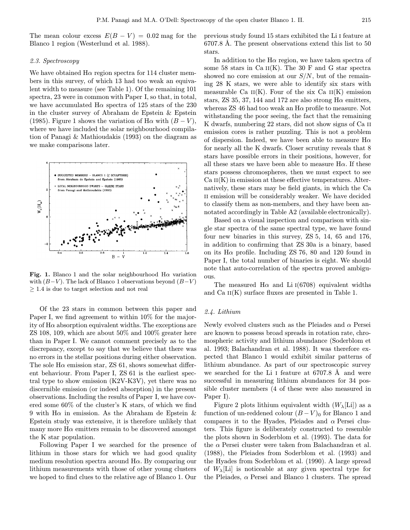The mean colour excess  $E(B - V) = 0.02$  mag for the Blanco 1 region (Westerlund et al. 1988).

### 2.3. Spectroscopy

We have obtained  $H\alpha$  region spectra for 114 cluster members in this survey, of which 13 had too weak an equivalent width to measure (see Table 1). Of the remaining 101 spectra, 23 were in common with Paper I, so that, in total, we have accumulated  $H\alpha$  spectra of 125 stars of the 230 in the cluster survey of Abraham de Epstein & Epstein (1985). Figure 1 shows the variation of H $\alpha$  with  $(B - V)$ , where we have included the solar neighbourhood compilation of Panagi & Mathioudakis (1993) on the diagram as we make comparisons later.



Fig. 1. Blanco 1 and the solar neighbourhood  $H\alpha$  variation with  $(B-V)$ . The lack of Blanco 1 observations beyond  $(B-V)$  $\geq$  1.4 is due to target selection and not real

Of the 23 stars in common between this paper and Paper I, we find agreement to within 10% for the majority of  $H\alpha$  absorption equivalent widths. The exceptions are ZS 108, 109, which are about 50% and 100% greater here than in Paper I. We cannot comment precisely as to the discrepancy, except to say that we believe that there was no errors in the stellar positions during either observation. The sole  $H\alpha$  emission star, ZS 61, shows somewhat different behaviour. From Paper I, ZS 61 is the earliest spectral type to show emission (K2V-K3V), yet there was no discernible emission (or indeed absorption) in the present observations. Including the results of Paper I, we have covered some 60% of the cluster's K stars, of which we find 9 with  $H\alpha$  in emission. As the Abraham de Epstein & Epstein study was extensive, it is therefore unlikely that many more  $H\alpha$  emitters remain to be discovered amongst the K star population.

Following Paper I we searched for the presence of lithium in those stars for which we had good quality medium resolution spectra around  $H\alpha$ . By comparing our lithium measurements with those of other young clusters we hoped to find clues to the relative age of Blanco 1. Our previous study found 15 stars exhibited the Li i feature at 6707.8 Å. The present observations extend this list to 50 stars.

In addition to the  $H\alpha$  region, we have taken spectra of some 58 stars in Ca  $II(K)$ . The 30 F and G star spectra showed no core emission at our  $S/N$ , but of the remaining 28 K stars, we were able to identify six stars with measurable Ca  $II(K)$ . Four of the six Ca  $II(K)$  emission stars, ZS 35, 37, 144 and 172 are also strong  $H\alpha$  emitters, whereas  $\text{ZS}$  46 had too weak an  $\text{H}\alpha$  profile to measure. Not withstanding the poor seeing, the fact that the remaining K dwarfs, numbering 22 stars, did not show signs of Ca ii emission cores is rather puzzling. This is not a problem of dispersion. Indeed, we have been able to measure  $H\alpha$ for nearly all the K dwarfs. Closer scrutiny reveals that 8 stars have possible errors in their positions, however, for all these stars we have been able to measure  $H\alpha$ . If these stars possess chromospheres, then we must expect to see  $Ca<sub>II</sub>(K)$  in emission at these effective temperatures. Alternatively, these stars may be field giants, in which the Ca II emission will be considerably weaker. We have decided to classify them as non-members, and they have been annotated accordingly in Table A2 (available electronically).

Based on a visual inspection and comparison with single star spectra of the same spectral type, we have found four new binaries in this survey, ZS 5, 14, 65 and 176, in addition to confirming that ZS 30a is a binary, based on its  $H\alpha$  profile. Including ZS 76, 80 and 120 found in Paper I, the total number of binaries is eight. We should note that auto-correlation of the spectra proved ambiguous.

The measured  $H\alpha$  and Li  $(6708)$  equivalent widths and Ca  $II(K)$  surface fluxes are presented in Table 1.

### 2.4. Lithium

Newly evolved clusters such as the Pleiades and  $\alpha$  Persei are known to possess broad spreads in rotation rate, chromospheric activity and lithium abundance (Soderblom et al. 1993; Balachandran et al. 1988). It was therefore expected that Blanco 1 would exhibit similar patterns of lithium abundance. As part of our spectroscopic survey we searched for the Li I feature at  $6707.8$  Å and were successful in measuring lithium abundances for 34 possible cluster members (4 of these were also measured in Paper I).

Figure 2 plots lithium equivalent width  $(W_\lambda[\text{Li}])$  as a function of un-reddened colour  $(B-V)_0$  for Blanco 1 and compares it to the Hyades, Pleiades and  $\alpha$  Persei clusters. This figure is deliberately constructed to resemble the plots shown in Soderblom et al. (1993). The data for the  $\alpha$  Persei cluster were taken from Balachandran et al. (1988), the Pleiades from Soderblom et al. (1993) and the Hyades from Soderblom et al. (1990). A large spread of  $W_{\lambda}[\text{Li}]$  is noticeable at any given spectral type for the Pleiades,  $\alpha$  Persei and Blanco 1 clusters. The spread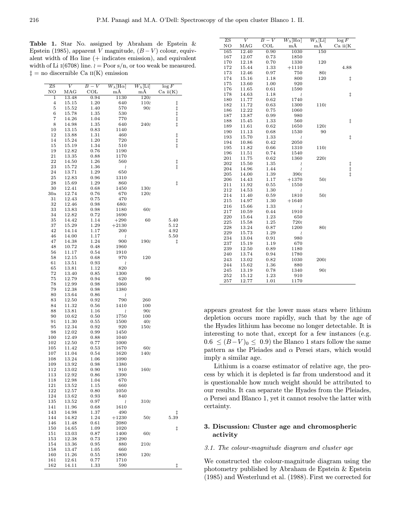Table 1. Star No. assigned by Abraham de Epstein & Epstein (1985), apparent V magnitude,  $(B - V)$  colour, equivalent width of  $H\alpha$  line (+ indicates emission), and equivalent width of Li  $I(6708)$  line.  $\ell = \text{Poor } s/n$ , or too weak be measured.  $\ddagger$  = no discernible Ca  $\text{II}(\text{K})$  emission

| ZS                      | V            | $B-V$        | $W_{\lambda}[\text{H}\alpha]$ | $W_{\lambda}[\operatorname{Li}]$ | $\log F$        |
|-------------------------|--------------|--------------|-------------------------------|----------------------------------|-----------------|
| NΟ                      | $_{\rm MAG}$ | $_{\rm COL}$ | mÅ                            | mÅ                               | $\rm Ca\ ii(K)$ |
| 1                       | 13.48        | 0.94         | 1130                          | 120                              |                 |
| $\overline{\mathbf{4}}$ | 15.15        | 1.20         | 640                           | 110                              |                 |
| 5                       | 15.52        | 1.40         | 570                           | 90                               | ╪╪╺╪╤╺╪╤╺╪╤╺╪╤  |
| 6                       | 15.78        | 1.35         | 530                           |                                  |                 |
| 7                       | 14.26        | 1.04         | 770                           |                                  |                 |
| 8                       | 14.98        | 1.35         | 640                           | 240                              |                 |
| 10                      | 13.15        | 0.83         | 1140                          |                                  |                 |
| 12                      | 13.88        | 1.31         | 460                           |                                  |                 |
| 14                      | 15.24        | 1.20         | 720                           |                                  |                 |
| 15                      | 15.19        | 1.34         | 510                           |                                  | $+ + + +$       |
| 19                      | 12.82        | 0.76         | 1190                          |                                  |                 |
| 21                      | 13.35        | 0.88         | 1170                          |                                  |                 |
| 22                      | 14.50        | 1.26         | 560                           |                                  |                 |
| 23                      | 15.72        | 1.36         | ≀                             |                                  | $\ddagger$      |
| 24                      | 13.71        | 1.29         | 650                           |                                  |                 |
| 25                      | 12.83        | 0.96         | 1310                          |                                  |                 |
| 28                      | 15.69        | 1.29         | 860                           |                                  | ŧ               |
| 30                      | 12.41        | 0.68         | 1450                          | 130                              |                 |
| 30a                     | 12.74        | 0.76         | 670                           | 120                              |                 |
| 31                      | 12.43        | 0.75         | 470                           |                                  |                 |
| 32                      | 12.46        | 0.98         | 680                           |                                  |                 |
| 33                      | 13.83        | 0.98         | 1180                          | 60                               |                 |
| 34                      | 12.82        | 0.72         | 1690                          |                                  |                 |
| 35                      | 14.42        | 1.14         | $+290$                        | 60                               | 5.40            |
| 37                      | 15.29        | 1.29         | $+2130$                       |                                  | 5.12            |
| 42                      |              | 1.17         | 200                           |                                  |                 |
|                         | 14.14        |              |                               |                                  | 4.92            |
| 46                      | 14.00        | 1.17         | ≀                             |                                  | 5.50            |
| 47                      | 14.38        | 1.24         | 900                           | 190                              | ŧ               |
| 48                      | 10.72        | 0.48         | 1960                          |                                  |                 |
| 56                      | 11.17        | 0.54         | 1910                          |                                  |                 |
| 58                      | 12.15        | 0.68         | 970                           | 120                              |                 |
| 61                      | 13.51        | 0.93         | S                             |                                  |                 |
| 65                      | 13.81        | 1.12         | 820                           |                                  |                 |
| 72                      | 13.40        | $_{0.85}$    | 1300                          |                                  |                 |
| 75                      | 12.79        | 0.94         | 620                           | 90                               |                 |
| 78                      | 12.99        | 0.98         | 1060                          |                                  |                 |
| 79                      | 12.38        | 0.98         | 1380                          |                                  |                 |
| 80                      | 13.64        | 0.86         | S                             |                                  |                 |
| 83                      | 12.50        | 0.92         | 790                           | 260                              |                 |
| 84                      | 11.32        | 0.56         | 1410                          | 100                              |                 |
| 88                      | 13.81        | 1.16         | S                             | 90                               |                 |
| 90                      | 10.62        | 0.50         | 1750                          | 100                              |                 |
| 91                      | 11.30        | 0.55         | 1500                          | 40≀                              |                 |
| 95                      | 12.34        | 0.92         | 920                           | 150≀                             |                 |
| 98                      | 12.02        | 0.99         | 1450                          |                                  |                 |
| 100                     | 12.49        | 0.88         | 1040                          |                                  |                 |
| 102                     | 12.50        | 0.77         | 1000                          |                                  |                 |
| 105                     | 11.42        | 0.53         | 1670                          | 60                               |                 |
| 107                     | 11.04        | 0.54         | 1620                          | 140                              |                 |
| 108                     | 13.24        | 1.06         | 1090                          |                                  |                 |
| 109                     | 13.92        | 0.98         | 1380                          |                                  |                 |
| 112                     | 13.02        | 0.90         | 910                           | 160                              |                 |
| 113                     | 12.92        | 0.86         | 1390                          |                                  |                 |
| 118                     | 12.98        | 1.04         | 670                           |                                  |                 |
| 121                     | 13.52        | 1.15         | 660                           |                                  |                 |
| 122                     | 12.57        | $_{0.80}$    | 1050                          |                                  |                 |
| 124                     | 13.62        | 0.93         | 840                           |                                  |                 |
| 135                     | 13.52        | 0.97         | ≀                             | 310                              |                 |
| 141                     | 11.96        | 0.68         | 1610                          |                                  |                 |
| 143                     | 14.98        | 1.37         | 490                           |                                  | ŧ               |
| 144                     | 14.82        | 1.24         | $+1230$                       | 50                               | 5.39            |
| 146                     | 11.48        | 0.61         | 2080                          |                                  |                 |
| 150                     | 14.65        | 1.09         | 1020                          |                                  | ŧ               |
| 151                     | 13.03        | 0.87         | 1400                          | 60                               |                 |
| 153                     | 12.38        | 0.73         | 1290                          |                                  |                 |
| 154                     | 13.36        | $_{0.95}$    | 880                           | 210                              |                 |
| 158                     | 13.47        | 1.05         | 660                           |                                  |                 |
| 160                     | 11.26        | $_{0.55}$    | 1800                          | 120                              |                 |
| 161                     | 12.61        | 0.77         | 1710                          |                                  |                 |
| 162                     | 14.11        | 1.33         | 590                           |                                  | ‡.              |
|                         |              |              |                               |                                  |                 |

| ZS  | V            | $B-V$     | $W_{\lambda}[\text{H}\alpha]$ | $W_{\lambda}[\operatorname{Li}]$ | $\log F$     |
|-----|--------------|-----------|-------------------------------|----------------------------------|--------------|
| NΟ  | $_{\rm MAG}$ | COL       | $m\AA$                        | mÅ                               | $Ca$ ii( $K$ |
| 165 | 12.40        | 0.90      | 1030                          | 150                              |              |
| 167 | 12.07        | 0.73      | 1850                          |                                  |              |
| 170 | 12.18        | 0.70      | 1330                          | 120                              |              |
| 172 | 15.44        | 1.33      | $+1110$                       |                                  | 4.88         |
| 173 | 12.46        | 0.97      | 750                           | 80                               |              |
| 174 | 15.16        | 1.18      | 800                           | 120                              | ŧ            |
| 175 | 13.60        | 1.00      | 920                           |                                  |              |
| 176 | 11.65        | 0.61      | 1590                          |                                  |              |
| 178 | 14.63        | 1.18      | S                             |                                  | ŧ            |
| 180 | 11.77        | 0.62      | 1740                          |                                  |              |
| 182 | 11.72        | 0.63      | 1300                          | 110                              |              |
| 186 | 12.22        | 0.75      | 1060                          |                                  |              |
| 187 | 13.87        | 0.99      | 980                           |                                  |              |
| 188 | 15.45        | 1.33      | 560                           |                                  | $\ddagger$   |
| 189 | 11.61        | 0.62      | 1650                          | 120                              |              |
| 190 | 11.13        | 0.68      | 1530                          | 90                               |              |
| 193 | 15.70        | 1.33      | S                             |                                  | $\ddagger$   |
| 194 | 10.86        | 0.42      | 2050                          |                                  |              |
| 195 | 11.82        | 0.66      | 1310                          | 110                              |              |
| 196 | 11.51        | 0.74      | 1540                          |                                  |              |
| 201 | 11.75        | 0.62      | 1360                          | 2202                             |              |
| 202 | 15.50        | 1.35      | S                             |                                  |              |
| 204 | 14.96        | 1.44      | S                             |                                  | <br> +<br> + |
| 205 | 14.00        | 1.39      | 390                           |                                  |              |
| 206 | 14.43        | 1.17      | $+1370$                       | 50                               |              |
| 211 | 11.92        | 0.55      | 1550                          |                                  |              |
| 212 | 14.53        | 1.30      | S                             |                                  |              |
| 214 | 11.40        | 0.59      | 1810                          | 50                               |              |
| 215 | 14.97        | 1.30      | $+1640$                       |                                  |              |
| 216 | 15.66        | 1.33      | S                             |                                  |              |
| 217 | 10.59        | 0.44      | 1910                          |                                  |              |
| 220 | 15.64        | 1.23      | 650                           |                                  |              |
| 225 | 15.58        | 1.25      | 7201                          |                                  |              |
| 228 | 13.24        | 0.87      | 1200                          | 80                               |              |
| 229 | 15.73        | 1.29      | S                             |                                  |              |
| 234 | 13.04        | 0.91      | 980                           |                                  |              |
| 237 | 15.19        | 1.19      | 670                           |                                  |              |
| 239 | 12.50        | 0.89      | 1180                          |                                  |              |
| 240 | 13.74        | 0.94      | 1780                          |                                  |              |
| 243 | 13.02        | $_{0.82}$ | 1030                          | 200                              |              |
| 244 | 15.62        | 1.36      | 880                           |                                  |              |
| 245 | 13.19        | 0.78      | 1340                          | 90                               |              |
| 252 | 15.12        | 1.23      | 910                           |                                  |              |
| 257 | 12.77        | 1.01      | 1170                          |                                  |              |

appears greatest for the lower mass stars where lithium depletion occurs more rapidly, such that by the age of the Hyades lithium has become no longer detectable. It is interesting to note that, except for a few instances (e.g.  $0.6 \leq (B-V)_0 \leq 0.9$  the Blanco 1 stars follow the same pattern as the Pleiades and  $\alpha$  Persei stars, which would imply a similar age.

Lithium is a coarse estimator of relative age, the process by which it is depleted is far from understood and it is questionable how much weight should be attributed to our results. It can separate the Hyades from the Pleiades,  $\alpha$  Persei and Blanco 1, yet it cannot resolve the latter with certainty.

# 3. Discussion: Cluster age and chromospheric activity

# 3.1. The colour-magnitude diagram and cluster age

We constructed the colour-magnitude diagram using the photometry published by Abraham de Epstein & Epstein (1985) and Westerlund et al. (1988). First we corrected for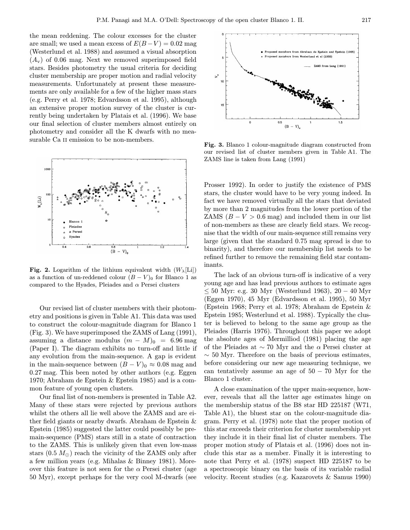the mean reddening. The colour excesses for the cluster are small; we used a mean excess of  $E(B-V) = 0.02$  mag (Westerlund et al. 1988) and assumed a visual absorption  $(A_{\rm v})$  of 0.06 mag. Next we removed superimposed field stars. Besides photometry the usual criteria for deciding cluster membership are proper motion and radial velocity measurements. Unfortunately at present these measurements are only available for a few of the higher mass stars (e.g. Perry et al. 1978; Edvardsson et al. 1995), although an extensive proper motion survey of the cluster is currently being undertaken by Platais et al. (1996). We base our final selection of cluster members almost entirely on photometry and consider all the K dwarfs with no measurable Ca II emission to be non-members.



Fig. 2. Logarithm of the lithium equivalent width  $(W_\lambda[\text{Li}])$ as a function of un-reddened colour  $(B - V)$ <sub>0</sub> for Blanco 1 as compared to the Hyades, Pleiades and  $\alpha$  Persei clusters

Our revised list of cluster members with their photometry and positions is given in Table A1. This data was used to construct the colour-magnitude diagram for Blanco 1 (Fig. 3). We have superimposed the ZAMS of Lang (1991), assuming a distance modulus  $(m - M)_0 = 6.96$  mag (Paper I). The diagram exhibits no turn-off and little if any evolution from the main-sequence. A gap is evident in the main-sequence between  $(B - V)_0 \approx 0.08$  mag and 0.27 mag. This been noted by other authors (e.g. Eggen 1970; Abraham de Epstein & Epstein 1985) and is a common feature of young open clusters.

Our final list of non-members is presented in Table A2. Many of these stars were rejected by previous authors whilst the others all lie well above the ZAMS and are either field giants or nearby dwarfs. Abraham de Epstein & Epstein (1985) suggested the latter could possibly be premain-sequence (PMS) stars still in a state of contraction to the ZAMS. This is unlikely given that even low-mass stars  $(0.5 M_{\odot})$  reach the vicinity of the ZAMS only after a few million years (e.g. Mihalas & Binney 1981). Moreover this feature is not seen for the  $\alpha$  Persei cluster (age 50 Myr), except perhaps for the very cool M-dwarfs (see



Fig. 3. Blanco 1 colour-magnitude diagram constructed from our revised list of cluster members given in Table A1. The ZAMS line is taken from Lang (1991)

Prosser 1992). In order to justify the existence of PMS stars, the cluster would have to be very young indeed. In fact we have removed virtually all the stars that deviated by more than 2 magnitudes from the lower portion of the ZAMS  $(B - V > 0.6$  mag) and included them in our list of non-members as these are clearly field stars. We recognise that the width of our main-sequence still remains very large (given that the standard 0.75 mag spread is due to binarity), and therefore our membership list needs to be refined further to remove the remaining field star contaminants.

The lack of an obvious turn-off is indicative of a very young age and has lead previous authors to estimate ages ≤ 50 Myr: e.g. 30 Myr (Westerlund 1963), 20 − 40 Myr (Eggen 1970), 45 Myr (Edvardsson et al. 1995), 50 Myr (Epstein 1968; Perry et al. 1978; Abraham de Epstein & Epstein 1985; Westerlund et al. 1988). Typically the cluster is believed to belong to the same age group as the Pleiades (Harris 1976). Throughout this paper we adopt the absolute ages of Mermilliod (1981) placing the age of the Pleiades at  $\sim$  70 Myr and the  $\alpha$  Persei cluster at  $\sim$  50 Myr. Therefore on the basis of previous estimates, before considering our new age measuring technique, we can tentatively assume an age of  $50 - 70$  Myr for the Blanco 1 cluster.

A close examination of the upper main-sequence, however, reveals that all the latter age estimates hinge on the membership status of the B8 star HD 225187 (W71, Table A1), the bluest star on the colour-magnitude diagram. Perry et al. (1978) note that the proper motion of this star exceeds their criterion for cluster membership yet they include it in their final list of cluster members. The proper motion study of Platais et al. (1996) does not include this star as a member. Finally it is interesting to note that Perry et al. (1978) suspect HD 225187 to be a spectroscopic binary on the basis of its variable radial velocity. Recent studies (e.g. Kazarovets & Samus 1990)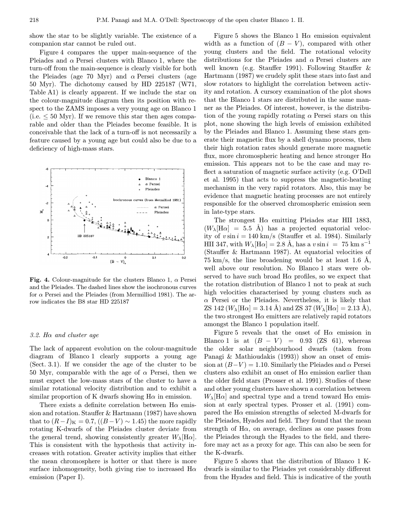show the star to be slightly variable. The existence of a companion star cannot be ruled out.

Figure 4 compares the upper main-sequence of the Pleiades and  $\alpha$  Persei clusters with Blanco 1, where the turn-off from the main-sequence is clearly visible for both the Pleiades (age 70 Myr) and  $\alpha$  Persei clusters (age 50 Myr). The dichotomy caused by HD 225187 (W71, Table A1) is clearly apparent. If we include the star on the colour-magnitude diagram then its position with respect to the ZAMS imposes a very young age on Blanco 1 (i.e.  $\leq 50$  Myr). If we remove this star then ages comparable and older than the Pleiades become feasible. It is conceivable that the lack of a turn-off is not necessarily a feature caused by a young age but could also be due to a deficiency of high-mass stars.



Fig. 4. Colour-magnitude for the clusters Blanco 1,  $\alpha$  Persei and the Pleiades. The dashed lines show the isochronous curves for  $\alpha$  Persei and the Pleiades (from Mermilliod 1981). The arrow indicates the B8 star HD 225187

### 3.2. Hα and cluster age

The lack of apparent evolution on the colour-magnitude diagram of Blanco 1 clearly supports a young age (Sect. 3.1). If we consider the age of the cluster to be 50 Myr, comparable with the age of  $\alpha$  Persei, then we must expect the low-mass stars of the cluster to have a similar rotational velocity distribution and to exhibit a similar proportion of K dwarfs showing  $H\alpha$  in emission.

There exists a definite correlation between  $H\alpha$  emission and rotation. Stauffer & Hartmann (1987) have shown that to  $(R-I)_{K} = 0.7$ ,  $((B-V) ∼ 1.45)$  the more rapidly rotating K-dwarfs of the Pleiades cluster deviate from the general trend, showing consistently greater  $W_{\lambda}[\text{H}\alpha]$ . This is consistent with the hypothesis that activity increases with rotation. Greater activity implies that either the mean chromosphere is hotter or that there is more surface inhomogeneity, both giving rise to increased  $H\alpha$ emission (Paper I).

Figure 5 shows the Blanco 1 H $\alpha$  emission equivalent width as a function of  $(B - V)$ , compared with other young clusters and the field. The rotational velocity distributions for the Pleiades and  $\alpha$  Persei clusters are well known (e.g. Stauffer 1991). Following Stauffer & Hartmann (1987) we crudely split these stars into fast and slow rotators to highlight the correlation between activity and rotation. A cursory examination of the plot shows that the Blanco 1 stars are distributed in the same manner as the Pleiades. Of interest, however, is the distribution of the young rapidly rotating  $\alpha$  Persei stars on this plot, none showing the high levels of emission exhibited by the Pleiades and Blanco 1. Assuming these stars generate their magnetic flux by a shell dynamo process, then their high rotation rates should generate more magnetic flux, more chromospheric heating and hence stronger  $H\alpha$ emission. This appears not to be the case and may reflect a saturation of magnetic surface activity (e.g. O'Dell et al. 1995) that acts to suppress the magnetic-heating mechanism in the very rapid rotators. Also, this may be evidence that magnetic heating processes are not entirely responsible for the observed chromospheric emission seen in late-type stars.

The strongest  $H\alpha$  emitting Pleiades star HII 1883,  $(W_\lambda[\text{H}\alpha] = 5.5 \text{ Å})$  has a projected equatorial velocity of  $v \sin i = 140$  km/s (Stauffer et al. 1984). Similarly HII 347, with  $W_{\lambda}[\text{H}\alpha] = 2.8 \text{ Å}$ , has a  $v \sin i = 75 \text{ km s}^{-1}$ (Stauffer & Hartmann 1987). At equatorial velocities of 75 km/s, the line broadening would be at least 1.6  $\AA$ , well above our resolution. No Blanco 1 stars were observed to have such broad  $H\alpha$  profiles, so we expect that the rotation distribution of Blanco 1 not to peak at such high velocities characterised by young clusters such as  $\alpha$  Persei or the Pleiades. Nevertheless, it is likely that ZS 142 ( $W_{\lambda}[\text{H}\alpha] = 3.14 \text{ Å}$ ) and ZS 37 ( $W_{\lambda}[\text{H}\alpha] = 2.13 \text{ Å}$ ), the two strongest  $H\alpha$  emitters are relatively rapid rotators amongst the Blanco 1 population itself.

Figure 5 reveals that the onset of  $H\alpha$  emission in Blanco 1 is at  $(B - V) = 0.93$  (ZS 61), whereas the older solar neighbourhood dwarfs (taken from Panagi & Mathioudakis (1993)) show an onset of emission at  $(B-V) = 1.10$ . Similarly the Pleiades and  $\alpha$  Persei clusters also exhibit an onset of  $H\alpha$  emission earlier than the older field stars (Prosser et al. 1991). Studies of these and other young clusters have shown a correlation between  $W_{\lambda}[\text{H}\alpha]$  and spectral type and a trend toward  $\text{H}\alpha$  emission at early spectral types. Prosser et al. (1991) compared the  $H\alpha$  emission strengths of selected M-dwarfs for the Pleiades, Hyades and field. They found that the mean strength of  $H\alpha$ , on average, declines as one passes from the Pleiades through the Hyades to the field, and therefore may act as a proxy for age. This can also be seen for the K-dwarfs.

Figure 5 shows that the distribution of Blanco 1 Kdwarfs is similar to the Pleiades yet considerably different from the Hyades and field. This is indicative of the youth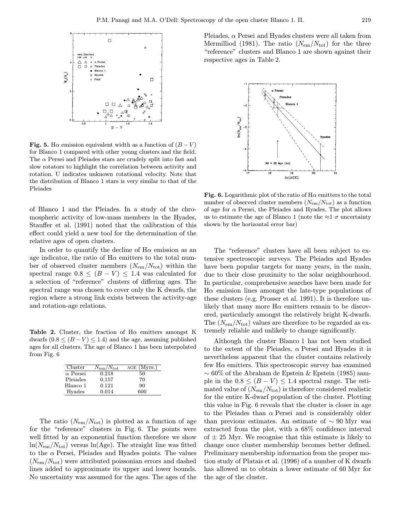

Fig. 5. H $\alpha$  emission equivalent width as a function of  $(B - V)$ for Blanco 1 compared with other young clusters and the field. The  $\alpha$  Persei and Pleiades stars are crudely split into fast and slow rotators to highlight the correlation between activity and rotation. U indicates unknown rotational velocity. Note that the distribution of Blanco 1 stars is very similar to that of the Pleiades

of Blanco 1 and the Pleiades. In a study of the chromospheric activity of low-mass members in the Hyades, Stauffer et al. (1991) noted that the calibration of this effect could yield a new tool for the determination of the relative ages of open clusters.

In order to quantify the decline of  $H\alpha$  emission as an age indicator, the ratio of  $H\alpha$  emitters to the total number of observed cluster members  $(N_{\rm em}/N_{\rm tot})$  within the spectral range  $0.8 \leq (B - V) \leq 1.4$  was calculated for a selection of "reference" clusters of differing ages. The spectral range was chosen to cover only the K dwarfs, the region where a strong link exists between the activity-age and rotation-age relations.

Table 2. Cluster, the fraction of  $H\alpha$  emitters amongst K dwarfs  $(0.8 \leq (B - V) \leq 1.4)$  and the age, assuming published ages for all clusters. The age of Blanco 1 has been interpolated from Fig. 6

| Cluster         | $N_{\rm em}/N_{\rm tot}$ | AGE (Myrs.) |
|-----------------|--------------------------|-------------|
| $\alpha$ Persei | 0.218                    | 50          |
| Pleiades        | 0.157                    | 70          |
| Blanco 1        | 0.121                    | 90          |
| Hyades          | 0.014                    | 600         |

The ratio  $(N_{\rm em}/N_{\rm tot})$  is plotted as a function of age for the "reference" clusters in Fig. 6. The points were well fitted by an exponential function therefore we show  $ln(N_{em}/N_{tot})$  versus  $ln(Age)$ . The straight line was fitted to the  $\alpha$  Persei, Pleiades and Hyades points. The values  $(N_{\rm em}/N_{\rm tot})$  were attributed poissonian errors and dashed lines added to approximate its upper and lower bounds. No uncertainty was assumed for the ages. The ages of the

Pleiades,  $\alpha$  Persei and Hyades clusters were all taken from Mermilliod (1981). The ratio  $(N_{\rm em}/N_{\rm tot})$  for the three "reference" clusters and Blanco 1 are shown against their respective ages in Table 2.



Fig. 6. Logarithmic plot of the ratio of  $H\alpha$  emitters to the total number of observed cluster members  $(N_{\rm em}/N_{\rm tot})$  as a function of age for  $\alpha$  Persei, the Pleiades and Hyades. The plot allows us to estimate the age of Blanco 1 (note the  $\approx$ 1  $\sigma$  uncertainty shown by the horizontal error bar)

The "reference" clusters have all been subject to extensive spectroscopic surveys. The Pleiades and Hyades have been popular targets for many years, in the main, due to their close proximity to the solar neighbourhood. In particular, comprehensive searches have been made for  $H\alpha$  emission lines amongst the late-type populations of these clusters (e.g. Prosser et al. 1991). It is therefore unlikely that many more  $H\alpha$  emitters remain to be discovered, particularly amongst the relatively bright K-dwarfs. The  $(N_{\rm em}/N_{\rm tot})$  values are therefore to be regarded as extremely reliable and unlikely to change significantly.

Although the cluster Blanco 1 has not been studied to the extent of the Pleiades,  $\alpha$  Persei and Hyades it is nevertheless apparent that the cluster contains relatively few  $H\alpha$  emitters. This spectroscopic survey has examined ∼ 60% of the Abraham de Epstein & Epstein (1985) sample in the  $0.8 \leq (B - V) \leq 1.4$  spectral range. The estimated value of  $(N_{\rm em}/N_{\rm tot})$  is therefore considered realistic for the entire K-dwarf population of the cluster. Plotting this value in Fig. 6 reveals that the cluster is closer in age to the Pleiades than  $\alpha$  Persei and is considerably older than previous estimates. An estimate of  $\sim 90$  Myr was extracted from the plot, with a 68% confidence interval of  $\pm$  25 Myr. We recognise that this estimate is likely to change once cluster membership becomes better defined. Preliminary membership information from the proper motion study of Platais et al. (1996) of a number of K dwarfs has allowed us to obtain a lower estimate of 60 Myr for the age of the cluster.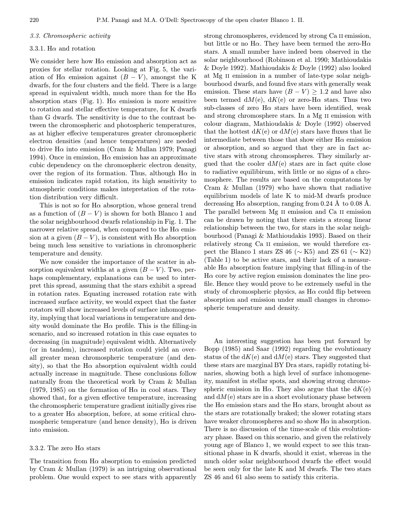### 3.3. Chromospheric activity

#### 3.3.1. H $\alpha$  and rotation

We consider here how  $H\alpha$  emission and absorption act as proxies for stellar rotation. Looking at Fig. 5, the variation of H $\alpha$  emission against  $(B - V)$ , amongst the K dwarfs, for the four clusters and the field. There is a large spread in equivalent width, much more than for the  $H\alpha$ absorption stars (Fig. 1). H $\alpha$  emission is more sensitive to rotation and stellar effective temperature, for K dwarfs than G dwarfs. The sensitivity is due to the contrast between the chromospheric and photospheric temperatures, as at higher effecive temperatures greater chromospheric electron densities (and hence temperatures) are needed to drive H $\alpha$  into emission (Cram & Mullan 1979; Panagi 1994). Once in emission,  $H\alpha$  emission has an approximate cubic dependency on the chromospheric electron density, over the region of its formation. Thus, although  $H\alpha$  in emission indicates rapid rotation, its high sensitivity to atmospheric conditions makes intepretation of the rotation distribution very difficult.

This is not so for  $H\alpha$  absorption, whose general trend as a function of  $(B - V)$  is shown for both Blanco 1 and the solar neighbourhood dwarfs relationship in Fig. 1. The narrower relative spread, when compared to the  $H\alpha$  emission at a given  $(B - V)$ , is consistent with H $\alpha$  absorption being much less sensitive to variations in chromospheric temperature and density.

We now consider the importance of the scatter in absorption equivalent widths at a given  $(B - V)$ . Two, perhaps complementary, explanations can be used to interpret this spread, assuming that the stars exhibit a spread in rotation rates. Equating increased rotation rate with increased surface activity, we would expect that the faster rotators will show increased levels of surface inhomogeneity, implying that local variations in temperature and density would dominate the  $H\alpha$  profile. This is the filling-in scenario, and so increased rotation in this case equates to decreasing (in magnitude) equivalent width. Alternatively (or in tandem), increased rotation could yield an overall greater mean chromospheric temperature (and density), so that the H $\alpha$  absorption equivalent width could actually increase in magnitude. These conclusions follow naturally from the theoretical work by Cram & Mullan (1979, 1985) on the formation of  $H\alpha$  in cool stars. They showed that, for a given effective temperature, increasing the chromospheric temperature gradient initially gives rise to a greater  $H\alpha$  absorption, before, at some critical chromospheric temperature (and hence density),  $H\alpha$  is driven into emission.

### 3.3.2. The zero  $H\alpha$  stars

The transition from  $H\alpha$  absorption to emission predicted by Cram & Mullan (1979) is an intriguing observational problem. One would expect to see stars with apparently strong chromospheres, evidenced by strong Ca II emission, but little or no H $\alpha$ . They have been termed the zero-H $\alpha$ stars. A small number have indeed been observed in the solar neighbourhood (Robinson et al. 1990; Mathioudakis & Doyle 1992). Mathioudakis & Doyle (1992) also looked at Mg ii emission in a number of late-type solar neighbourhood dwarfs, and found five stars with generally weak emission. These stars have  $(B - V) \ge 1.2$  and have also been termed  $dM(e)$ ,  $dK(e)$  or zero-H $\alpha$  stars. Thus two sub-classes of zero  $H\alpha$  stars have been identified, weak and strong chromosphere stars. In a Mg ii emission with colour diagram, Mathioudakis & Doyle (1992) observed that the hottest  $dK(e)$  or  $dM(e)$  stars have fluxes that lie intermediate between those that show either  $H\alpha$  emission or absorption, and so argued that they are in fact active stars with strong chromospheres. They similarly argued that the cooler  $dM(e)$  stars are in fact quite close to radiative equilibirum, with little or no signs of a chromosphere. The results are based on the computatons by Cram & Mullan (1979) who have shown that radiative equilibrium models of late K to mid-M dwarfs produce decreasing H $\alpha$  absorption, ranging from 0.24 Å to 0.08 Å. The parallel between Mg ii emission and Ca ii emission can be drawn by noting that there exists a strong linear relationship between the two, for stars in the solar neighbourhood (Panagi & Mathioudakis 1993). Based on their relatively strong Ca II emission, we would therefore expect the Blanco 1 stars ZS 46 ( $\sim$  K5) and ZS 61 ( $\sim$  K2) (Table 1) to be active stars, and their lack of a measurable  $H\alpha$  absorption feature implying that filling-in of the  $H\alpha$  core by active region emission dominates the line profile. Hence they would prove to be extremely useful in the study of chromospheric physics, as  $H\alpha$  could flip between absorption and emission under small changes in chromospheric temperature and density.

An interesting suggestion has been put forward by Bopp (1985) and Saar (1992) regarding the evolutionary status of the  $dK(e)$  and  $dM(e)$  stars. They suggested that these stars are marginal BY Dra stars, rapidly rotating binaries, showing both a high level of surface inhomogeneity, manifest in stellar spots, and showing strong chromospheric emission in H $\alpha$ . They also argue that the  $dK(e)$ and  $dM(e)$  stars are in a short evolutionary phase between the H $\alpha$  emission stars and the H $\alpha$  stars, brought about as the stars are rotationally braked; the slower rotating stars have weaker chromospheres and so show  $H\alpha$  in absorption. There is no discussion of the time-scale of this evolutionary phase. Based on this scenario, and given the relatively young age of Blanco 1, we would expect to see this transitional phase in K dwarfs, should it exist, whereas in the much older solar neighbourhood dwarfs the effect would be seen only for the late K and M dwarfs. The two stars ZS 46 and 61 also seem to satisfy this criteria.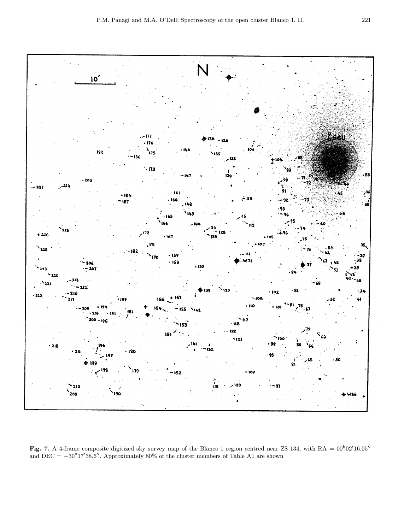

Fig. 7. A 4-frame composite digitized sky survey map of the Blanco 1 region centred near ZS 134, with  $RA = 00^h02'16.05''$ and DEC =  $-30^{\circ}17'38.6''$ . Approximately 80% of the cluster members of Table A1 are shown